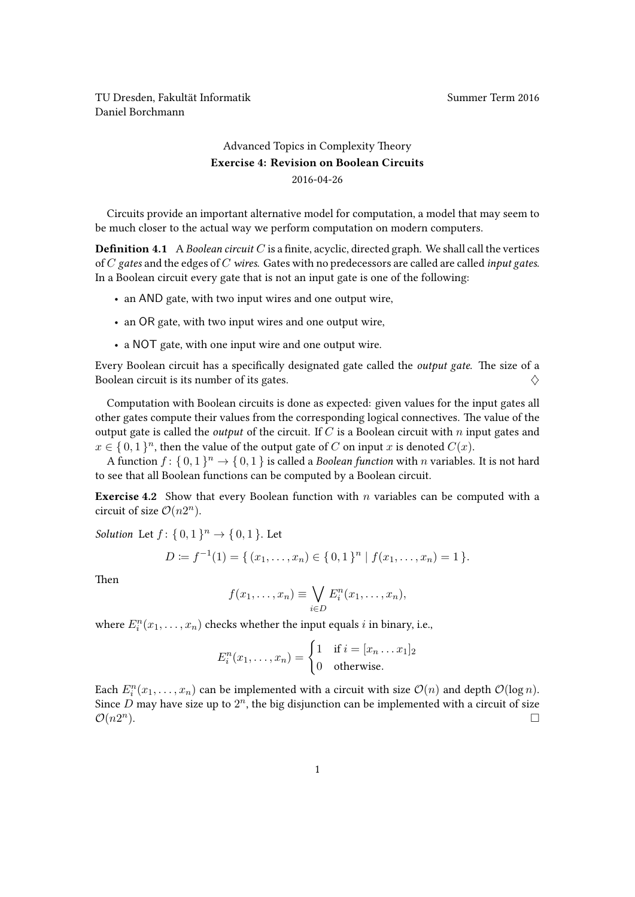TU Dresden, Fakultät Informatik Nummer Term 2016 Daniel Borchmann

## [Advanced Topics in Complexity Theory](https://ddll.inf.tu-dresden.de/web/Advanced_Topics_in_Complexity_Theory_(SS2016)) Exercise 4: Revision on Boolean Circuits 2016-04-26

Circuits provide an important alternative model for computation, a model that may seem to be much closer to the actual way we perform computation on modern computers.

**Definition 4.1** A Boolean circuit  $C$  is a finite, acyclic, directed graph. We shall call the vertices of  $C$  gates and the edges of  $C$  wires. Gates with no predecessors are called are called input gates. In a Boolean circuit every gate that is not an input gate is one of the following:

- an AND gate, with two input wires and one output wire,
- an OR gate, with two input wires and one output wire,
- a NOT gate, with one input wire and one output wire.

Every Boolean circuit has a specifically designated gate called the output gate. The size of a Boolean circuit is its number of its gates.  $\Diamond$ 

Computation with Boolean circuits is done as expected: given values for the input gates all other gates compute their values from the corresponding logical connectives. The value of the output gate is called the *output* of the circuit. If C is a Boolean circuit with n input gates and  $x \in \{0,1\}^n$ , then the value of the output gate of C on input x is denoted  $C(x)$ .

A function  $f: \{0,1\}^n \to \{0,1\}$  is called a *Boolean function* with n variables. It is not hard to see that all Boolean functions can be computed by a Boolean circuit.

**Exercise 4.2** Show that every Boolean function with n variables can be computed with a circuit of size  $\mathcal{O}(n2^n)$ .

*Solution* Let  $f: \{0,1\}^n \to \{0,1\}$ . Let

$$
D := f^{-1}(1) = \{ (x_1, \ldots, x_n) \in \{0, 1\}^n \mid f(x_1, \ldots, x_n) = 1 \}.
$$

Then

$$
f(x_1,\ldots,x_n)\equiv \bigvee_{i\in D} E_i^n(x_1,\ldots,x_n),
$$

where  $E_i^n(x_1, \ldots, x_n)$  checks whether the input equals *i* in binary, i.e.,

$$
E_i^n(x_1,\ldots,x_n) = \begin{cases} 1 & \text{if } i = [x_n \ldots x_1]_2 \\ 0 & \text{otherwise.} \end{cases}
$$

Each  $E_i^n(x_1,...,x_n)$  can be implemented with a circuit with size  $\mathcal{O}(n)$  and depth  $\mathcal{O}(\log n)$ . Since  $\overline{D}$  may have size up to  $2^n$ , the big disjunction can be implemented with a circuit of size  $\mathcal{O}(n2^n)$  $\Box$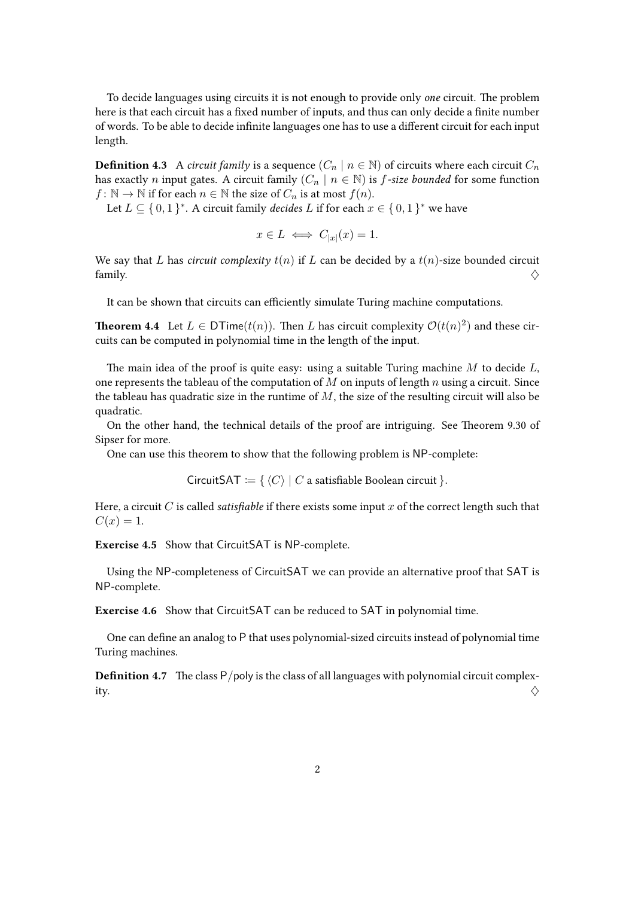To decide languages using circuits it is not enough to provide only one circuit. The problem here is that each circuit has a fixed number of inputs, and thus can only decide a finite number of words. To be able to decide infinite languages one has to use a different circuit for each input length.

**Definition 4.3** A circuit family is a sequence  $(C_n | n \in \mathbb{N})$  of circuits where each circuit  $C_n$ has exactly *n* input gates. A circuit family  $(C_n | n \in \mathbb{N})$  is *f*-size bounded for some function  $f: \mathbb{N} \to \mathbb{N}$  if for each  $n \in \mathbb{N}$  the size of  $C_n$  is at most  $f(n)$ .

Let  $L \subseteq \{0,1\}^*$ . A circuit family *decides* L if for each  $x \in \{0,1\}^*$  we have

$$
x \in L \iff C_{|x|}(x) = 1.
$$

We say that L has circuit complexity  $t(n)$  if L can be decided by a  $t(n)$ -size bounded circuit family.  $\diamondsuit$ 

It can be shown that circuits can efficiently simulate Turing machine computations.

**Theorem 4.4** Let  $L \in \text{DTime}(t(n))$ . Then L has circuit complexity  $\mathcal{O}(t(n)^2)$  and these circuits can be computed in polynomial time in the length of the input.

The main idea of the proof is quite easy: using a suitable Turing machine  $M$  to decide  $L$ , one represents the tableau of the computation of  $M$  on inputs of length  $n$  using a circuit. Since the tableau has quadratic size in the runtime of  $M$ , the size of the resulting circuit will also be quadratic.

On the other hand, the technical details of the proof are intriguing. See Theorem 9.30 of Sipser for more.

One can use this theorem to show that the following problem is NP-complete:

CircuitSAT := { $\langle C \rangle$  | C a satisfiable Boolean circuit }.

Here, a circuit  $C$  is called satisfiable if there exists some input  $x$  of the correct length such that  $C(x) = 1.$ 

Exercise 4.5 Show that CircuitSAT is NP-complete.

Using the NP-completeness of CircuitSAT we can provide an alternative proof that SAT is NP-complete.

Exercise 4.6 Show that CircuitSAT can be reduced to SAT in polynomial time.

One can define an analog to P that uses polynomial-sized circuits instead of polynomial time Turing machines.

**Definition 4.7** The class  $P/poly$  is the class of all languages with polynomial circuit complexity.  $\Diamond$